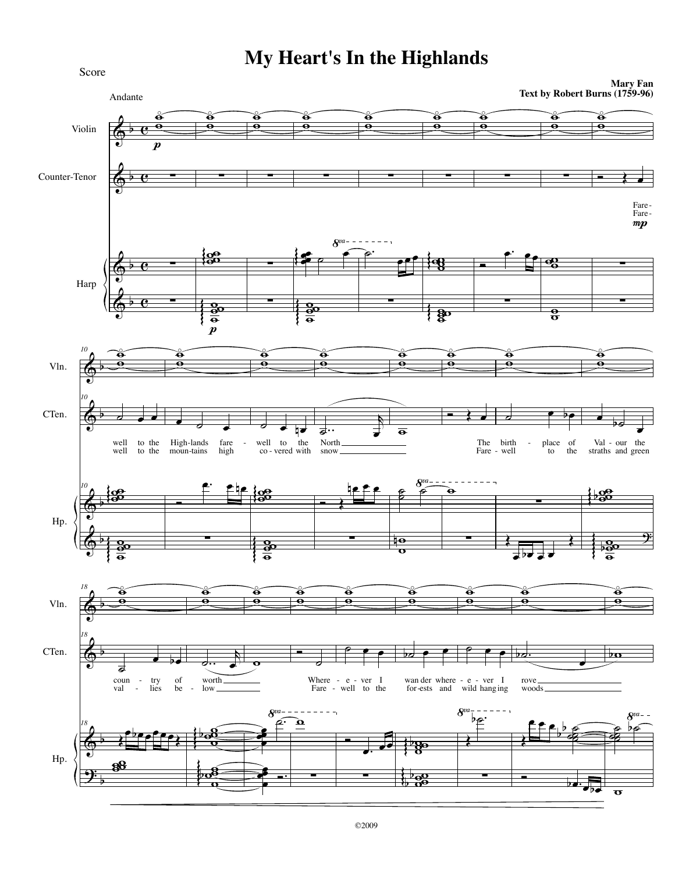## My Heart's In the Highlands

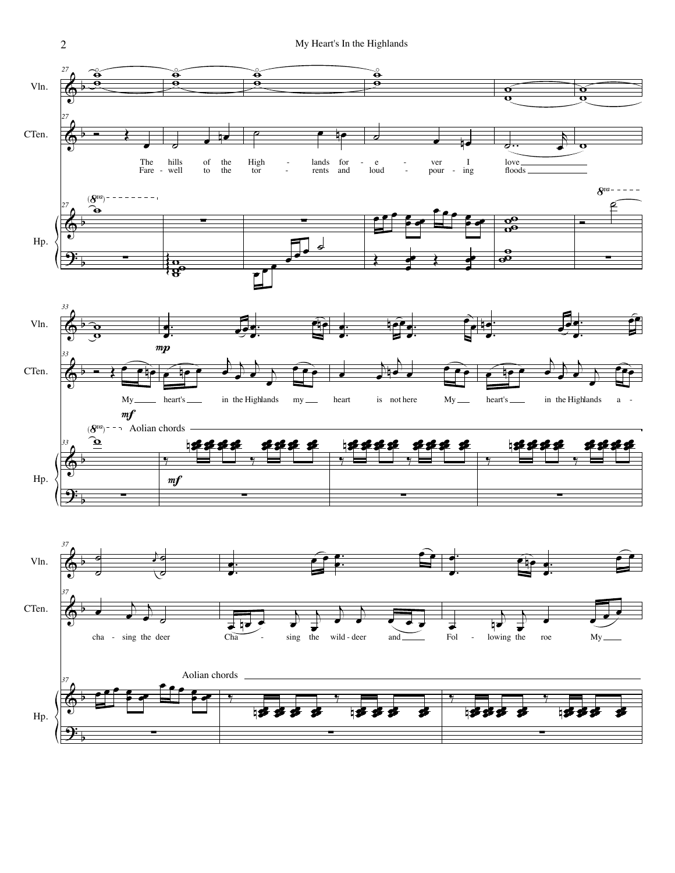